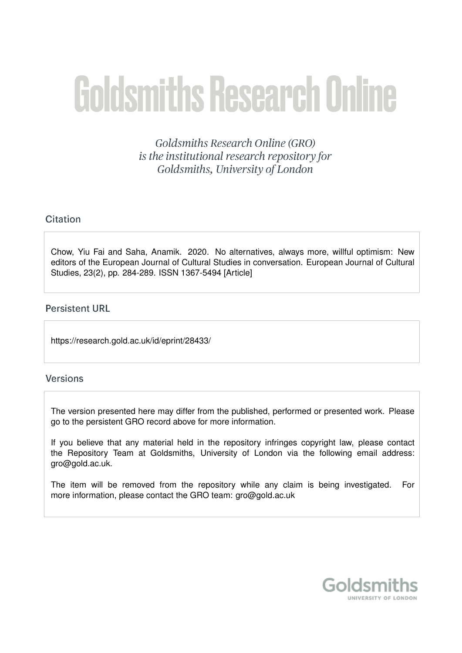# **Goldsmiths Research Online**

Goldsmiths Research Online (GRO) is the institutional research repository for Goldsmiths, University of London

# Citation

Chow, Yiu Fai and Saha, Anamik. 2020. No alternatives, always more, willful optimism: New editors of the European Journal of Cultural Studies in conversation. European Journal of Cultural Studies, 23(2), pp. 284-289. ISSN 1367-5494 [Article]

# **Persistent URL**

https://research.gold.ac.uk/id/eprint/28433/

## **Versions**

The version presented here may differ from the published, performed or presented work. Please go to the persistent GRO record above for more information.

If you believe that any material held in the repository infringes copyright law, please contact the Repository Team at Goldsmiths, University of London via the following email address: gro@gold.ac.uk.

The item will be removed from the repository while any claim is being investigated. For more information, please contact the GRO team: gro@gold.ac.uk

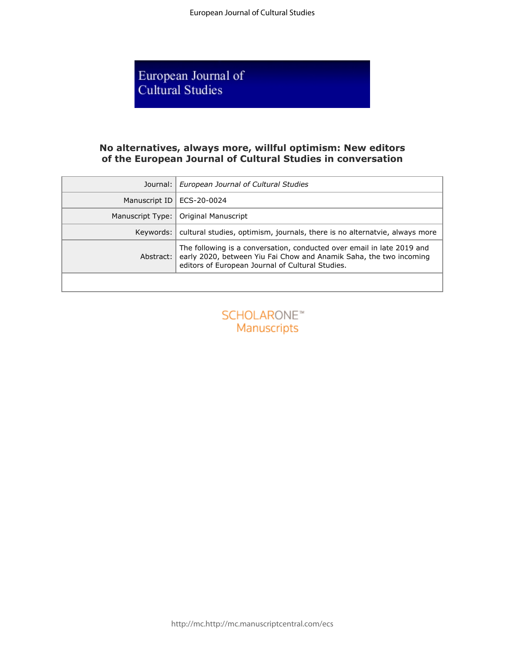European Journal of<br>Cultural Studies

## **No alternatives, always more, willful optimism: New editors of the European Journal of Cultural Studies in conversation**

| Journal:                          | European Journal of Cultural Studies                                                                                                                                                             |
|-----------------------------------|--------------------------------------------------------------------------------------------------------------------------------------------------------------------------------------------------|
| Manuscript ID                     | ECS-20-0024                                                                                                                                                                                      |
| Manuscript Type:                  | Original Manuscript                                                                                                                                                                              |
| Keywords:                         | cultural studies, optimism, journals, there is no alternatvie, always more                                                                                                                       |
| Abstract:                         | The following is a conversation, conducted over email in late 2019 and<br>early 2020, between Yiu Fai Chow and Anamik Saha, the two incoming<br>editors of European Journal of Cultural Studies. |
|                                   |                                                                                                                                                                                                  |
| <b>SCHOLARONE™</b><br>Manuscripts |                                                                                                                                                                                                  |

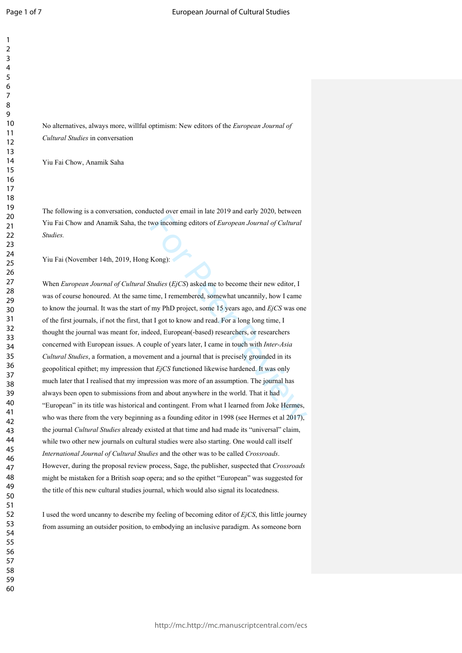$\mathbf{1}$  $\overline{2}$  $\overline{3}$ 

No alternatives, always more, willful optimism: New editors of the *European Journal of Cultural Studies* in conversation

Yiu Fai Chow, Anamik Saha

The following is a conversation, conducted over email in late 2019 and early 2020, between Yiu Fai Chow and Anamik Saha, the two incoming editors of *European Journal of Cultural Studies.*

Yiu Fai (November 14th, 2019, Hong Kong):

wo incoming editors of *European Journal of Cultural*<br>Kong):<br> *Studies* (*EjCS*) asked me to become their new editor, I<br>
ime, I remembered, somewhat uncannily, how I came<br>
imp PhD project, some 15 years ago, and *EjCS* wa When *European Journal of Cultural Studies*  (*EjCS*) asked me to become their new editor, I was of course honoured. At the same time, I remembered, somewhat uncannily, how I came to know the journal. It was the start of my PhD project, some 15 years ago, and *EjCS* was one of the first journals, if not the first, that I got to know and read. For a long long time, I thought the journal was meant for, indeed, European(-based) researchers, or researchers concerned with European issues. A couple of years later, I came in touch with *Inter-Asia Cultural Studies*, a formation, a movement and a journal that is precisely grounded in its geopolitical epithet; my impression that *EjCS* functioned likewise hardened. It was only much later that I realised that my impression was more of an assumption. The journal has always been open to submissions from and about anywhere in the world. That it had "European" in its title was historical and contingent. From what I learned from Joke Hermes, who was there from the very beginning as a founding editor in 1998 (see Hermes et al 2017), the journal *Cultural Studies* already existed at that time and had made its "universal" claim, while two other new journals on cultural studies were also starting. One would call itself *International Journal of Cultural Studies* and the other was to be called *Crossroads*. However, during the proposal review process, Sage, the publisher, suspected that *Crossroads* might be mistaken for a British soap opera; and so the epithet "European" was suggested for the title of this new cultural studies journal, which would also signal its locatedness.

I used the word uncanny to describe my feeling of becoming editor of *EjCS*, this little journey from assuming an outsider position, to embodying an inclusive paradigm. As someone born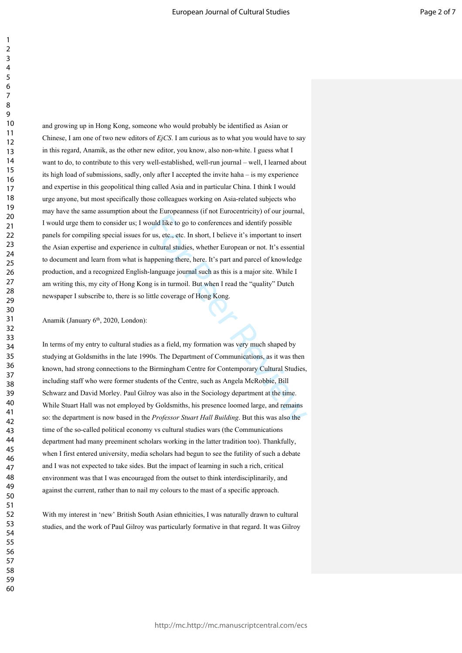buld like to go to conferences and identify possible<br>
us, etc., etc. In short, I believe it's important to insert<br>
cultural studies, whether European or not. It's essential<br>
ppening there, here. It's part and parcel of kno and growing up in Hong Kong, someone who would probably be identified as Asian or Chinese, I am one of two new editors of *EjCS*. I am curious as to what you would have to say in this regard, Anamik, as the other new editor, you know, also non-white. I guess what I want to do, to contribute to this very well-established, well-run journal – well, I learned about its high load of submissions, sadly, only after I accepted the invite haha – is my experience and expertise in this geopolitical thing called Asia and in particular China. I think I would urge anyone, but most specifically those colleagues working on Asia-related subjects who may have the same assumption about the Europeanness (if not Eurocentricity) of our journal, I would urge them to consider us; I would like to go to conferences and identify possible panels for compiling special issues for us, etc., etc. In short, I believe it's important to insert the Asian expertise and experience in cultural studies, whether European or not. It's essential to document and learn from what is happening there, here. It's part and parcel of knowledge production, and a recognized English-language journal such as this is a major site. While I am writing this, my city of Hong Kong is in turmoil. But when I read the "quality" Dutch newspaper I subscribe to, there is so little coverage of Hong Kong.

Anamik (January 6<sup>th</sup>, 2020, London):

In terms of my entry to cultural studies as a field, my formation was very much shaped by studying at Goldsmiths in the late 1990s. The Department of Communications, as it was then known, had strong connections to the Birmingham Centre for Contemporary Cultural Studies, including staff who were former students of the Centre, such as Angela McRobbie, Bill Schwarz and David Morley. Paul Gilroy was also in the Sociology department at the time. While Stuart Hall was not employed by Goldsmiths, his presence loomed large, and remains so: the department is now based in the *Professor Stuart Hall Building*. But this was also the time of the so-called political economy vs cultural studies wars (the Communications department had many preeminent scholars working in the latter tradition too). Thankfully, when I first entered university, media scholars had begun to see the futility of such a debate and I was not expected to take sides. But the impact of learning in such a rich, critical environment was that I was encouraged from the outset to think interdisciplinarily, and against the current, rather than to nail my colours to the mast of a specific approach.

With my interest in 'new' British South Asian ethnicities, I was naturally drawn to cultural studies, and the work of Paul Gilroy was particularly formative in that regard. It was Gilroy

 $\mathbf{1}$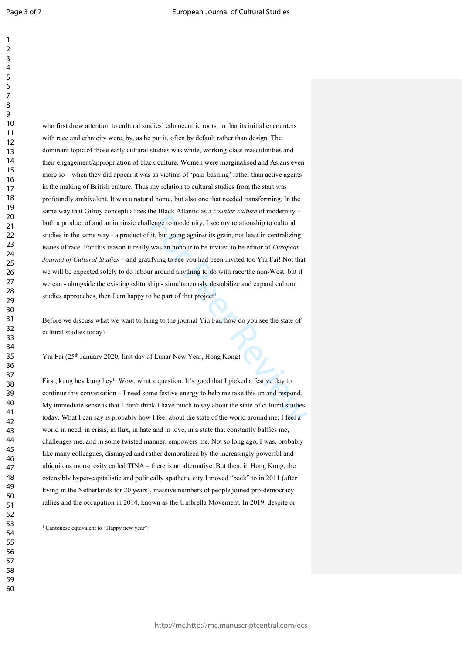$\mathbf{1}$  $\overline{2}$ 

lenge to modernity, I see my relationship to cultural<br>it, but going against its grain, not least in centralizing<br>was an honour to be invited to be editor of *European*<br>ifying to see you had been invited too Yiu Fai! Not th who first drew attention to cultural studies' ethnocentric roots, in that its initial encounters with race and ethnicity were, by, as he put it, often by default rather than design. The dominant topic of those early cultural studies was white, working-class masculinities and their engagement/appropriation of black culture. Women were marginalised and Asians even more so – when they did appear it was as victims of 'paki-bashing' rather than active agents in the making of British culture. Thus my relation to cultural studies from the start was profoundly ambivalent. It was a natural home, but also one that needed transforming. In the same way that Gilroy conceptualizes the Black Atlantic as a *counter-culture* of modernity – both a product of and an intrinsic challenge to modernity, I see my relationship to cultural studies in the same way - a product of it, but going against its grain, not least in centralizing issues of race. For this reason it really was an honour to be invited to be editor of *European Journal of Cultural Studies –* and gratifying to see you had been invited too Yiu Fai! Not that we will be expected solely to do labour around anything to do with race/the non-West, but if we can - alongside the existing editorship - simultaneously destabilize and expand cultural studies approaches, then I am happy to be part of that project!

Before we discuss what we want to bring to the journal Yiu Fai, how do you see the state of cultural studies today?

Yiu Fai (25<sup>th</sup> January 2020, first day of Lunar New Year, Hong Kong)

First, kung hey kung hey<sup>1</sup>. Wow, what a question. It's good that I picked a festive day to continue this conversation – I need some festive energy to help me take this up and respond. My immediate sense is that I don't think I have much to say about the state of cultural studies today. What I can say is probably how I feel about the state of the world around me; I feel a world in need, in crisis, in flux, in hate and in love, in a state that constantly baffles me, challenges me, and in some twisted manner, empowers me. Not so long ago, I was, probably like many colleagues, dismayed and rather demoralized by the increasingly powerful and ubiquitous monstrosity called TINA – there is no alternative. But then, in Hong Kong, the ostensibly hyper-capitalistic and politically apathetic city I moved "back" to in 2011 (after living in the Netherlands for 20 years), massive numbers of people joined pro-democracy rallies and the occupation in 2014, known as the Umbrella Movement. In 2019, despite or

<sup>&</sup>lt;sup>1</sup> Cantonese equivalent to "Happy new year".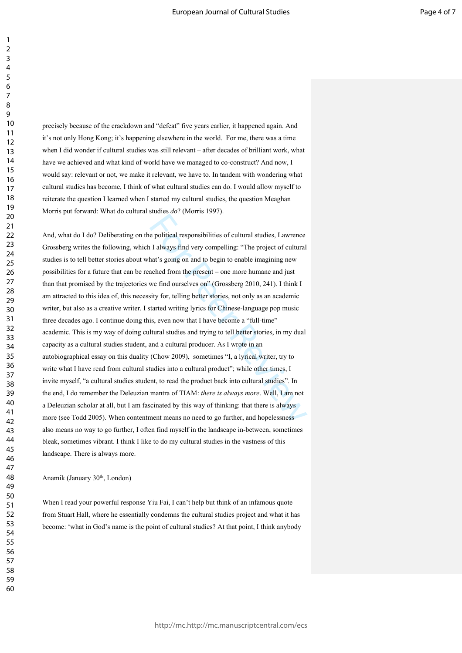precisely because of the crackdown and "defeat" five years earlier, it happened again. And it's not only Hong Kong; it's happening elsewhere in the world. For me, there was a time when I did wonder if cultural studies was still relevant – after decades of brilliant work, what have we achieved and what kind of world have we managed to co-construct? And now, I would say: relevant or not, we make it relevant, we have to. In tandem with wondering what cultural studies has become, I think of what cultural studies can do. I would allow myself to reiterate the question I learned when I started my cultural studies, the question Meaghan Morris put forward: What do cultural studies *do*? (Morris 1997).

e political responsibilities of cultural studies, Lawrence<br>
I always find very compelling: "The project of cultural<br>
nat's going on and to begin to enable imagining new<br>
ached from the present – one more humane and just<br>
w And, what do I do? Deliberating on the political responsibilities of cultural studies, Lawrence Grossberg writes the following, which I always find very compelling: "The project of cultural studies is to tell better stories about what's going on and to begin to enable imagining new possibilities for a future that can be reached from the present – one more humane and just than that promised by the trajectories we find ourselves on" (Grossberg 2010, 241). I think I am attracted to this idea of, this necessity for, telling better stories, not only as an academic writer, but also as a creative writer. I started writing lyrics for Chinese-language pop music three decades ago. I continue doing this, even now that I have become a "full-time" academic. This is my way of doing cultural studies and trying to tell better stories, in my dual capacity as a cultural studies student, and a cultural producer. As I wrote in an autobiographical essay on this duality (Chow 2009), sometimes "I, a lyrical writer, try to write what I have read from cultural studies into a cultural product"; while other times, I invite myself, "a cultural studies student, to read the product back into cultural studies". In the end, I do remember the Deleuzian mantra of TIAM: *there is always more*. Well, I am not a Deleuzian scholar at all, but I am fascinated by this way of thinking: that there is always more (see Todd 2005). When contentment means no need to go further, and hopelessness also means no way to go further, I often find myself in the landscape in-between, sometimes bleak, sometimes vibrant. I think I like to do my cultural studies in the vastness of this landscape. There is always more.

#### Anamik (January 30<sup>th</sup>, London)

When I read your powerful response Yiu Fai, I can't help but think of an infamous quote from Stuart Hall, where he essentially condemns the cultural studies project and what it has become: 'what in God's name is the point of cultural studies? At that point, I think anybody

 $\mathbf{1}$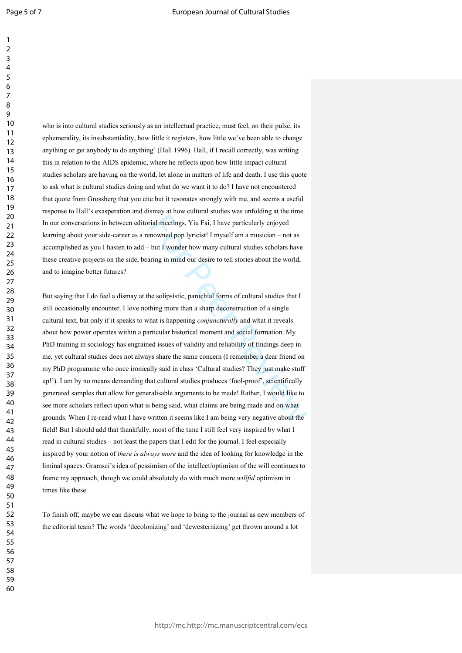$\mathbf{1}$  $\overline{2}$  $\overline{3}$ 

who is into cultural studies seriously as an intellectual practice, must feel, on their pulse, its ephemerality, its insubstantiality, how little it registers, how little we've been able to change anything or get anybody to do anything' (Hall 1996). Hall, if I recall correctly, was writing this in relation to the AIDS epidemic, where he reflects upon how little impact cultural studies scholars are having on the world, let alone in matters of life and death. I use this quote to ask what is cultural studies doing and what do we want it to do? I have not encountered that quote from Grossberg that you cite but it resonates strongly with me, and seems a useful response to Hall's exasperation and dismay at how cultural studies was unfolding at the time. In our conversations in between editorial meetings, Yiu Fai, I have particularly enjoyed learning about your side-career as a renowned pop lyricist! I myself am a musician – not as accomplished as you I hasten to add – but I wonder how many cultural studies scholars have these creative projects on the side, bearing in mind our desire to tell stories about the world, and to imagine better futures?

ial meetings, Yiu Fai, I have particularly enjoyed<br>nowned pop lyricist! I myself am a musician – not as<br>but I wonder how many cultural studies scholars have<br>tring in mind our desire to tell stories about the world,<br>ne soli But saying that I do feel a dismay at the solipsistic, parochial forms of cultural studies that I still occasionally encounter. I love nothing more than a sharp deconstruction of a single cultural text, but only if it speaks to what is happening *conjuncturally* and what it reveals about how power operates within a particular historical moment and social formation. My PhD training in sociology has engrained issues of validity and reliability of findings deep in me, yet cultural studies does not always share the same concern (I remember a dear friend on my PhD programme who once ironically said in class 'Cultural studies? They just make stuff up!'). I am by no means demanding that cultural studies produces 'fool-proof', scientifically generated samples that allow for generalisable arguments to be made! Rather, I would like to see more scholars reflect upon what is being said, what claims are being made and on what grounds. When I re-read what I have written it seems like I am being very negative about the field! But I should add that thankfully, most of the time I still feel very inspired by what I read in cultural studies – not least the papers that I edit for the journal. I feel especially inspired by your notion of *there is always more* and the idea of looking for knowledge in the liminal spaces. Gramsci's idea of pessimism of the intellect/optimism of the will continues to frame my approach, though we could absolutely do with much more *willful* optimism in times like these.

To finish off, maybe we can discuss what we hope to bring to the journal as new members of the editorial team? The words 'decolonizing' and 'dewesternizing' get thrown around a lot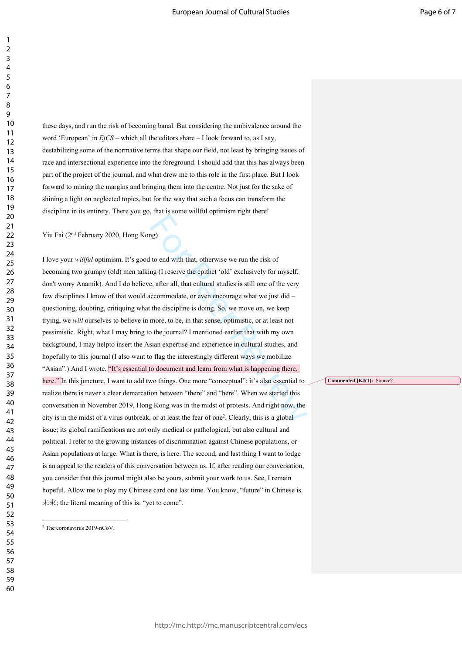these days, and run the risk of becoming banal. But considering the ambivalence around the word 'European' in *EjCS* – which all the editors share – I look forward to, as I say, destabilizing some of the normative terms that shape our field, not least by bringing issues of race and intersectional experience into the foreground. I should add that this has always been part of the project of the journal, and what drew me to this role in the first place. But I look forward to mining the margins and bringing them into the centre. Not just for the sake of shining a light on neglected topics, but for the way that such a focus can transform the discipline in its entirety. There you go, that is some willful optimism right there!

Yiu Fai (2nd February 2020, Hong Kong)

ng)<br>
to end with that, otherwise we run the risk of<br>
ng (I reserve the epithet 'old' exclusively for myself,<br>
e, after all, that cultural studies is still one of the very<br>
accommodate, or even encourage what we just did—<br> I love your *willful* optimism. It's good to end with that, otherwise we run the risk of becoming two grumpy (old) men talking (I reserve the epithet 'old' exclusively for myself, don't worry Anamik). And I do believe, after all, that cultural studies is still one of the very few disciplines I know of that would accommodate, or even encourage what we just did – questioning, doubting, critiquing what the discipline is doing. So, we move on, we keep trying, we *will* ourselves to believe in more, to be, in that sense, optimistic, or at least not pessimistic. Right, what I may bring to the journal? I mentioned earlier that with my own background, I may helpto insert the Asian expertise and experience in cultural studies, and hopefully to this journal (I also want to flag the interestingly different ways we mobilize "Asian".) And I wrote, <sup>k</sup>It's essential to document and learn from what is happening there, here." In this juncture, I want to add two things. One more "conceptual": it's also essential to realize there is never a clear demarcation between "there" and "here". When we started this conversation in November 2019, Hong Kong was in the midst of protests. And right now, the city is in the midst of a virus outbreak, or at least the fear of one<sup>2</sup> . Clearly, this is a global issue; its global ramifications are not only medical or pathological, but also cultural and political. I refer to the growing instances of discrimination against Chinese populations, or Asian populations at large. What is there, is here. The second, and last thing I want to lodge is an appeal to the readers of this conversation between us. If, after reading our conversation, you consider that this journal might also be yours, submit your work to us. See, I remain hopeful. Allow me to play my Chinese card one last time. You know, "future" in Chinese is 未來; the literal meaning of this is: "yet to come".

**Commented [KJ(1]:** Source?

The coronavirus 2019-nCoV.